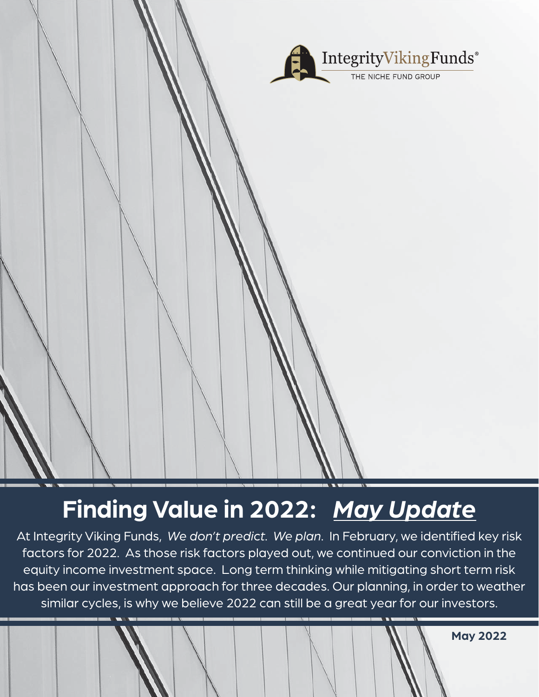

# **Finding Value in 2022:** *May Update*

At Integrity Viking Funds, We don't predict. We plan. In February, we identified key risk factors for 2022. As those risk factors played out, we continued our conviction in the equity income investment space. Long term thinking while mitigating short term risk has been our investment approach for three decades. Our planning, in order to weather similar cycles, is why we believe 2022 can still be a great year for our investors.

**May 2022**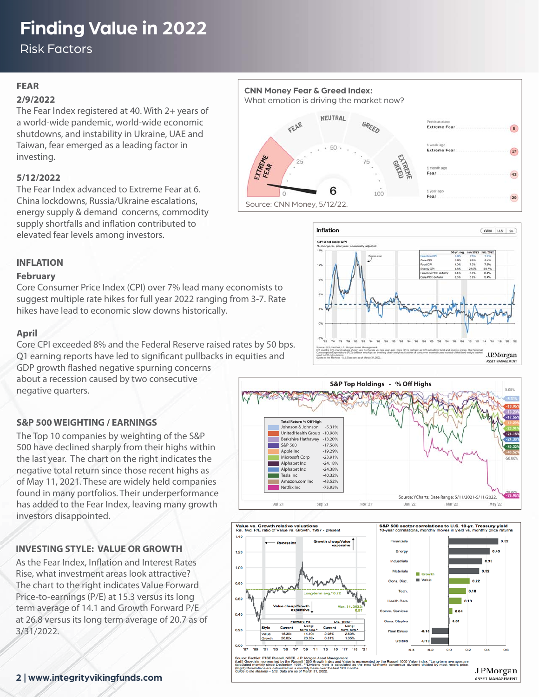## **Finding Value in 2022**

Risk Factors

#### **FEAR**

#### **2/9/2022**

The Fear Index registered at 40. With 2+ years of a world-wide pandemic, world-wide economic shutdowns, and instability in Ukraine, UAE and Taiwan, fear emerged as a leading factor in investing.

#### **5/12/2022**

The Fear Index advanced to Extreme Fear at 6. China lockdowns, Russia/Ukraine escalations, energy supply & demand concerns, commodity supply shortfalls and inflation contributed to elevated fear levels among investors.



Source: CNN Money, 5/12/22.



#### **INFLATION**

#### **February**

Core Consumer Price Index (CPI) over 7% lead many economists to suggest multiple rate hikes for full year 2022 ranging from 3-7. Rate hikes have lead to economic slow downs historically.

#### **April**

Core CPI exceeded 8% and the Federal Reserve raised rates by 50 bps. Q1 earning reports have led to significant pullbacks in equities and

GDP growth flashed negative spurning concerns about a recession caused by two consecutive negative quarters.

The Top 10 companies by weighting of the S&P 500 have declined sharply from their highs within the last year. The chart on the right indicates the negative total return since those recent highs as of May 11, 2021. These are widely held companies found in many portfolios. Their underperformance has added to the Fear Index, leaving many growth

**S&P 500 WEIGHTING / EARNINGS**

investors disappointed.





As the Fear Index, Inflation and Interest Rates Rise, what investment areas look attractive? The chart to the right indicates Value Forward Price-to-earnings (P/E) at 15.3 versus its long term average of 14.1 and Growth Forward P/E at 26.8 versus its long term average of 20.7 as of 3/31/2022.

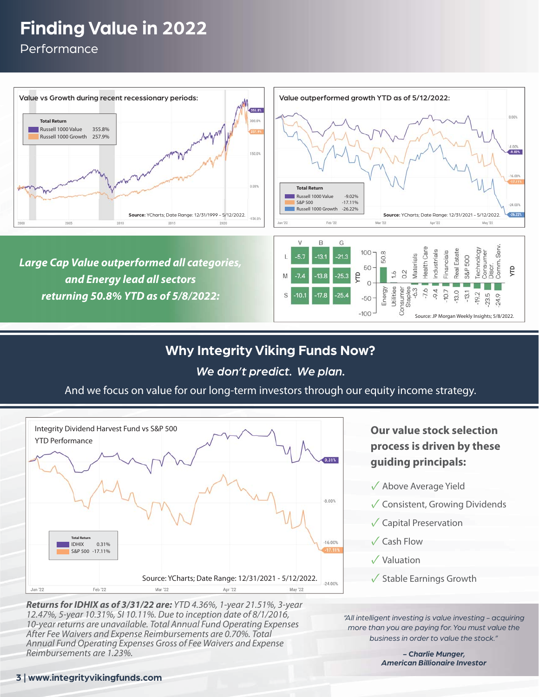## **Finding Value in 2022**

Performance



### **Why Integrity Viking Funds Now?**

#### *We don't predict. We plan.*

And we focus on value for our long-term investors through our equity income strategy.



*Returns for IDHIX as of 3/31/22 are:* YTD 4.36%, 1-year 21.51%, 3-year 12.47%, 5-year 10.31%, SI 10.11%. Due to inception date of 8/1/2016, 10-year returns are unavailable. Total Annual Fund Operating Expenses After Fee Waivers and Expense Reimbursements are 0.70%. Total Annual Fund Operating Expenses Gross of Fee Waivers and Expense Reimbursements are 1.23%.

**Our value stock selection process is driven by these guiding principals:**

- ✓ Above Average Yield
- ✓Consistent, Growing Dividends
- ✓Capital Preservation
- ✓Cash Flow
- ✓Valuation
- $\sqrt{\ }$  Stable Earnings Growth

*"All intelligent investing is value investing - acquiring more than you are paying for. You must value the business in order to value the stock."* 

> *- Charlie Munger, American Billionaire Investor*